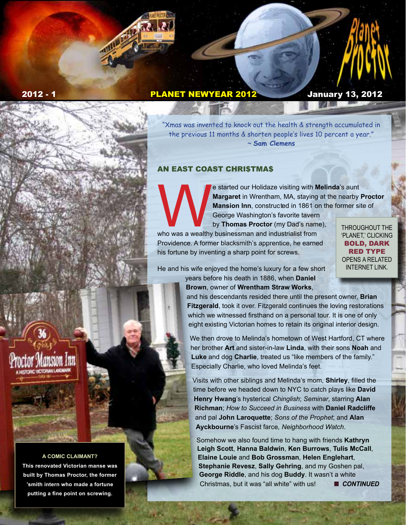# 2012 - 1 PLANET NEWYEAR 2012 January 13, 2012

"Xmas was invented to knock out the health & strength accumulated in the previous 11 months & shorten people's lives 10 percent a year." ~ **Sam Clemens**

## AN EAST COAST CHRI\$TMA\$

Exterted our Holidaze visiting with **Melinda**'s aunt<br> **Margaret** in Wrentham, MA, staying at the nearby<br> **Mansion Inn**, constructed in 1861 on the former si<br>
George Washington's favorite tavern<br>
by **Thomas Proctor** (my Dad **Margaret** in Wrentham, MA, staying at the nearby **Proctor Mansion Inn**, constructed in 1861 on the former site of George Washington's favorite tavern

by **Thomas Proctor** (my Dad's name), who was a wealthy businessman and industrialist from Providence. A former blacksmith's apprentice, he earned his fortune by inventing a sharp point for screws.

THROUGHOUT THE 'PLANET,' CLICKING BOLD, DARK RED TYPE OPENS A RELATED INTERNET LINK.

He and his wife enjoyed the home's luxury for a few short

years before his death in 1886, when **Daniel Brown**, owner of **Wrentham Straw Works**,

and his descendants resided there until the present owner, **Brian Fitzgerald**, took it over. Fitzgerald continues the loving restorations which we witnessed firsthand on a personal tour. It is one of only eight existing Victorian homes to retain its original interior design.

We then drove to Melinda's hometown of West Hartford, CT where her brother **Art** and sister-in-law **Linda**, with their sons **Noah** and **Luke** and dog **Charlie**, treated us "like members of the family." Especially Charlie, who loved Melinda's feet.

Visits with other siblings and Melinda's mom, **Shirley**, filled the time before we headed down to NYC to catch plays like **David Henry Hwang**'s hysterical *Chinglish*; *Seminar*, starring **Alan Richman**; *How to Succeed in Business* with **Daniel Radcliffe** and pal **John Laroquette**; *Sons of the Prophet*; and **Alan Ayckbourne**'s Fascist farce*, Neighborhood Watch*.

Somehow we also found time to hang with friends **Kathryn Leigh Scott**, **Hanna Baldwin**, **Ken Burrows**, **Tulis McCall**, **Elaine Louie** and **Bob Grossman**, **Helen Englehart**, **Stephanie Revesz**, **Sally Gehring**, and my Goshen pal, **George Riddle**, and his dog **Buddy**. It wasn't a white Christmas, but it was "all white" with us! CONTINUED

#### **A COMIC CLAIMANT?**

**This renovated Victorian manse was built by Thomas Proctor, the former 'smith intern who made a fortune putting a fine point on screwing.**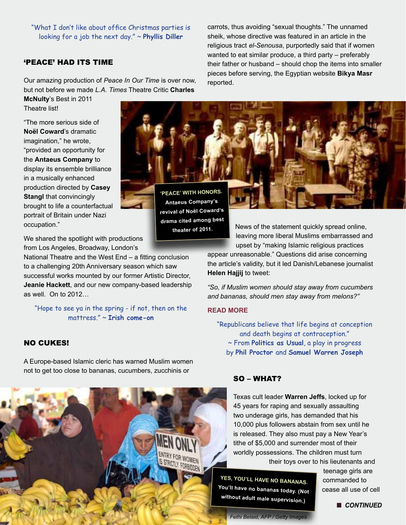"What I don't like about office Christmas parties is looking for a job the next day." ~ **Phyllis Diller** 

## 'PEACE' HAD ITS TIME

Our amazing production of *Peace In Our Time* is over now, but not before we made *L.A. Times* Theatre Critic **Charles** 

**McNulty**'s Best in 2011 Theatre list!

"The more serious side of **Noël Coward**'s dramatic imagination," he wrote, "provided an opportunity for the **Antaeus Company** to display its ensemble brilliance in a musically enhanced production directed by **Casey Stangl** that convincingly brought to life a counterfactual portrait of Britain under Nazi occupation."

carrots, thus avoiding "sexual thoughts." The unnamed sheik, whose directive was featured in an article in the religious tract *el-Senousa*, purportedly said that if women wanted to eat similar produce, a third party – preferably their father or husband – should chop the items into smaller pieces before serving, the Egyptian website **Bikya Masr** reported.

**'PEACE' WITH HONORS. Antaeus Company's revival of Noël Coward's drama cited among best theater of 2011.**

We shared the spotlight with productions from Los Angeles, Broadway, London's

National Theatre and the West End – a fitting conclusion to a challenging 20th Anniversary season which saw successful works mounted by our former Artistic Director, **Jeanie Hackett**, and our new company-based leadership as well. On to 2012…

"Hope to see ya in the spring - if not, then on the mattress." ~ **Irish come-on**

## NO CUKES!

A Europe-based Islamic cleric has warned Muslim women not to get too close to bananas, cucumbers, zucchinis or



News of the statement quickly spread online, leaving more liberal Muslims embarrassed and upset by "making Islamic religious practices

appear unreasonable." Questions did arise concerning the article's validity, but it led Danish/Lebanese journalist **Helen Hajjij** to tweet:

*"So, if Muslim women should stay away from cucumbers and bananas, should men stay away from melons?"*

#### **[READ MORE](http://www.foxnews.com/world/2011/12/08/muslim-cleric-reportedly-bans-women-from-handling-cucumbers/?intcmp=obnetwork#ixzz1h6UUoVjM)**

"Republicans believe that life begins at conception and death begins at contraception." ~ From **Politics as Usual**, a play in progress by **Phil Proctor** and **Samuel Warren Joseph**

### SO – WHAT?

Texas cult leader **Warren Jeffs**, locked up for 45 years for raping and sexually assaulting two underage girls, has demanded that his 10,000 plus followers abstain from sex until he is released. They also must pay a New Year's tithe of \$5,000 and surrender most of their worldly possessions. The children must turn their toys over to his lieutenants and

**YES, YOU'LL HAVE NO BANANAS. You'll have no bananas today. (Not without adult male supervision.)**

teenage girls are commanded to cease all use of cell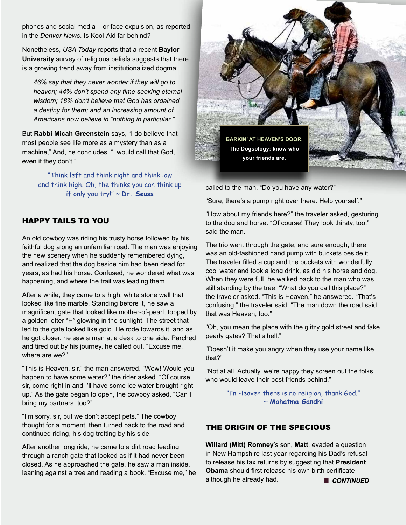phones and social media – or face expulsion, as reported in the *Denver News*. Is Kool-Aid far behind?

Nonetheless, *USA Today* reports that a recent **Baylor University** survey of religious beliefs suggests that there is a growing trend away from institutionalized dogma:

*46% say that they never wonder if they will go to heaven; 44% don't spend any time seeking eternal wisdom; 18% don't believe that God has ordained a destiny for them; and an increasing amount of Americans now believe in "nothing in particular."*

But **Rabbi Micah Greenstein** says, "I do believe that most people see life more as a mystery than as a machine," And, he concludes, "I would call that God, even if they don't."

> "Think left and think right and think low and think high. Oh, the thinks you can think up if only you try!" ~ **Dr. Seuss**

# HAPPY TAILS TO YOU

An old cowboy was riding his trusty horse followed by his faithful dog along an unfamiliar road. The man was enjoying the new scenery when he suddenly remembered dying, and realized that the dog beside him had been dead for years, as had his horse. Confused, he wondered what was happening, and where the trail was leading them.

After a while, they came to a high, white stone wall that looked like fine marble. Standing before it, he saw a magnificent gate that looked like mother-of-pearl, topped by a golden letter "H" glowing in the sunlight. The street that led to the gate looked like gold. He rode towards it, and as he got closer, he saw a man at a desk to one side. Parched and tired out by his journey, he called out, "Excuse me, where are we?"

"This is Heaven, sir," the man answered. "Wow! Would you happen to have some water?" the rider asked. "Of course, sir, come right in and I'll have some ice water brought right up." As the gate began to open, the cowboy asked, "Can I bring my partners, too?"

"I'm sorry, sir, but we don't accept pets." The cowboy thought for a moment, then turned back to the road and continued riding, his dog trotting by his side.

After another long ride, he came to a dirt road leading through a ranch gate that looked as if it had never been closed. As he approached the gate, he saw a man inside, leaning against a tree and reading a book. "Excuse me," he



called to the man. "Do you have any water?"

"Sure, there's a pump right over there. Help yourself."

"How about my friends here?" the traveler asked, gesturing to the dog and horse. "Of course! They look thirsty, too," said the man.

The trio went through the gate, and sure enough, there was an old-fashioned hand pump with buckets beside it. The traveler filled a cup and the buckets with wonderfully cool water and took a long drink, as did his horse and dog. When they were full, he walked back to the man who was still standing by the tree. "What do you call this place?" the traveler asked. "This is Heaven," he answered. "That's confusing," the traveler said. "The man down the road said that was Heaven, too."

"Oh, you mean the place with the glitzy gold street and fake pearly gates? That's hell."

"Doesn't it make you angry when they use your name like that?"

"Not at all. Actually, we're happy they screen out the folks who would leave their best friends behind."

> "In Heaven there is no religion, thank God." ~ **Mahatma Gandhi**

## THE ORIGIN OF THE SPECIOUS

**Willard (Mitt) Romney**'s son, **Matt**, evaded a question in New Hampshire last year regarding his Dad's refusal to release his tax returns by suggesting that **President Obama** should first release his own birth certificate – although he already had. **n CONTINUED**